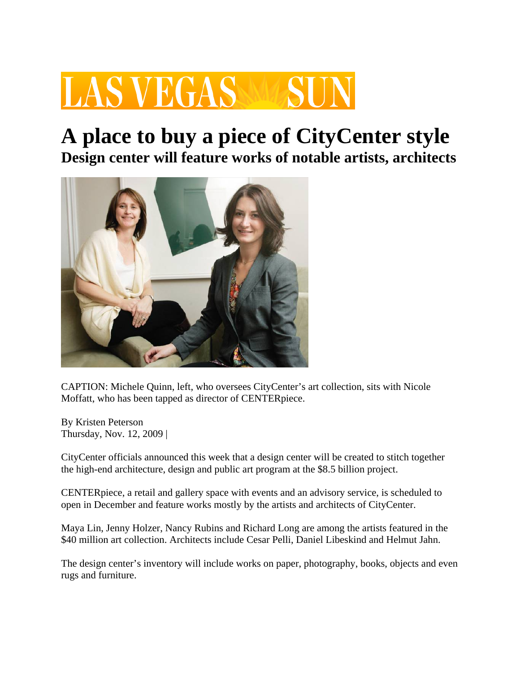# **LAS VEGAS**

### **A place to buy a piece of CityCenter style Design center will feature works of notable artists, architects**



CAPTION: Michele Quinn, left, who oversees CityCenter's art collection, sits with Nicole Moffatt, who has been tapped as director of CENTERpiece.

By Kristen Peterson Thursday, Nov. 12, 2009 |

CityCenter officials announced this week that a design center will be created to stitch together the high-end architecture, design and public art program at the \$8.5 billion project.

CENTERpiece, a retail and gallery space with events and an advisory service, is scheduled to open in December and feature works mostly by the artists and architects of CityCenter.

Maya Lin, Jenny Holzer, Nancy Rubins and Richard Long are among the artists featured in the \$40 million art collection. Architects include Cesar Pelli, Daniel Libeskind and Helmut Jahn.

The design center's inventory will include works on paper, photography, books, objects and even rugs and furniture.